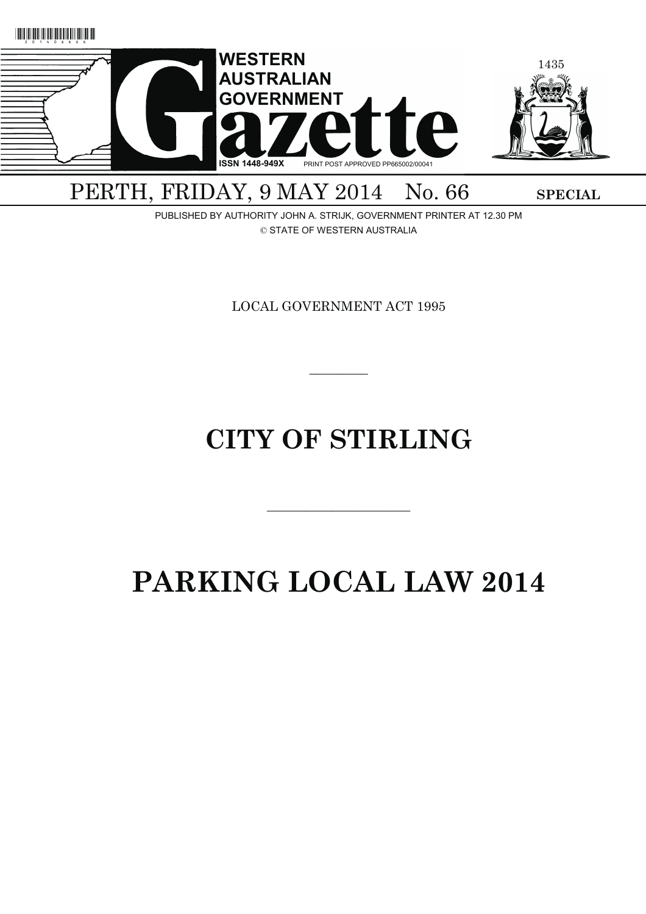

PERTH, FRIDAY, 9 MAY 2014 No. 66 SPECIAL

PUBLISHED BY AUTHORITY JOHN A. STRIJK, GOVERNMENT PRINTER AT 12.30 PM © STATE OF WESTERN AUSTRALIA

LOCAL GOVERNMENT ACT 1995

# **CITY OF STIRLING**

———————————

 $\overline{\phantom{a}}$ 

# **PARKING LOCAL LAW 2014**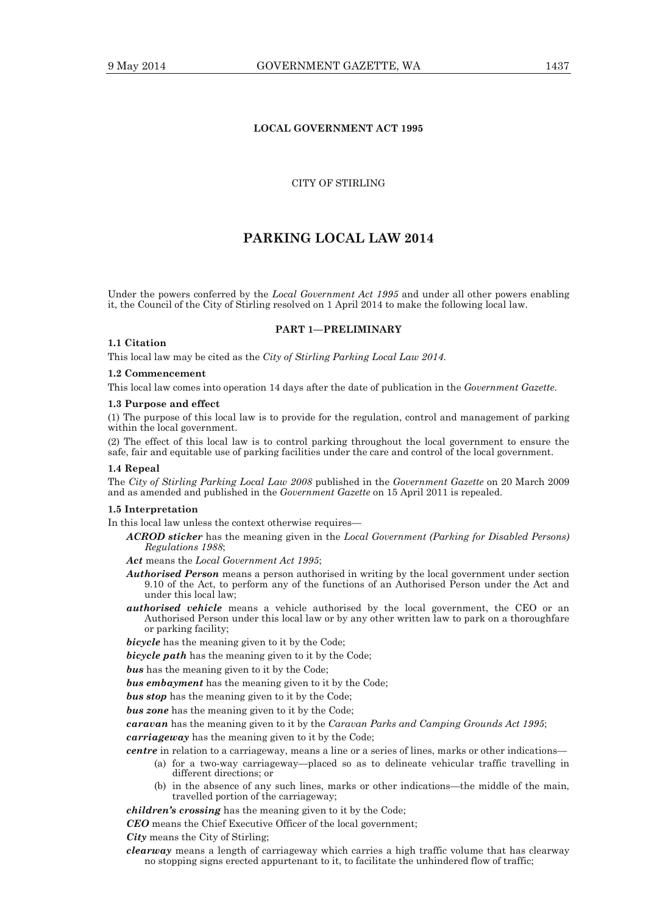## **LOCAL GOVERNMENT ACT 1995**

## CITY OF STIRLING

# **PARKING LOCAL LAW 2014**

Under the powers conferred by the *Local Government Act 1995* and under all other powers enabling it, the Council of the City of Stirling resolved on 1 April 2014 to make the following local law.

## **PART 1—PRELIMINARY**

## **1.1 Citation**

This local law may be cited as the *City of Stirling Parking Local Law 2014*.

## **1.2 Commencement**

This local law comes into operation 14 days after the date of publication in the *Government Gazette*.

#### **1.3 Purpose and effect**

(1) The purpose of this local law is to provide for the regulation, control and management of parking within the local government.

(2) The effect of this local law is to control parking throughout the local government to ensure the safe, fair and equitable use of parking facilities under the care and control of the local government.

#### **1.4 Repeal**

The *City of Stirling Parking Local Law 2008* published in the *Government Gazette* on 20 March 2009 and as amended and published in the *Government Gazette* on 15 April 2011 is repealed.

#### **1.5 Interpretation**

In this local law unless the context otherwise requires—

- *ACROD sticker* has the meaning given in the *Local Government (Parking for Disabled Persons) Regulations 1988*;
- *Act* means the *Local Government Act 1995*;
- *Authorised Person* means a person authorised in writing by the local government under section 9.10 of the Act, to perform any of the functions of an Authorised Person under the Act and under this local law;
- *authorised vehicle* means a vehicle authorised by the local government, the CEO or an Authorised Person under this local law or by any other written law to park on a thoroughfare or parking facility;

**bicycle** has the meaning given to it by the Code;

*bicycle path* has the meaning given to it by the Code;

*bus* has the meaning given to it by the Code;

*bus embayment* has the meaning given to it by the Code;

*bus stop* has the meaning given to it by the Code;

*bus zone* has the meaning given to it by the Code;

*caravan* has the meaning given to it by the *Caravan Parks and Camping Grounds Act 1995*;

*carriageway* has the meaning given to it by the Code;

*centre* in relation to a carriageway, means a line or a series of lines, marks or other indications—

- (a) for a two-way carriageway—placed so as to delineate vehicular traffic travelling in different directions; or
- (b) in the absence of any such lines, marks or other indications—the middle of the main, travelled portion of the carriageway;

*children's crossing* has the meaning given to it by the Code;

*CEO* means the Chief Executive Officer of the local government;

*City* means the City of Stirling;

*clearway* means a length of carriageway which carries a high traffic volume that has clearway no stopping signs erected appurtenant to it, to facilitate the unhindered flow of traffic;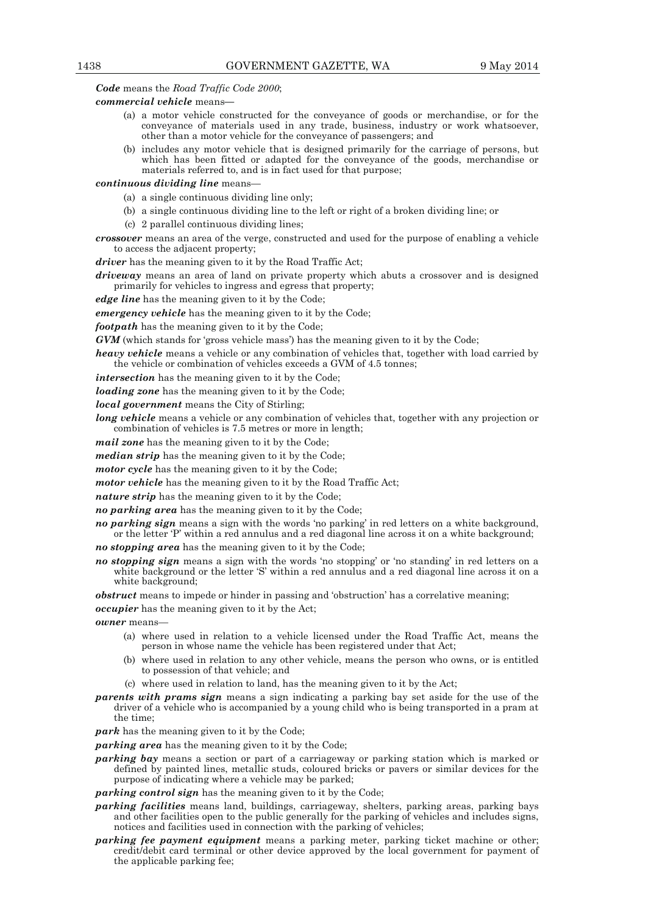*Code* means the *Road Traffic Code 2000*;

## *commercial vehicle* means**—**

- (a) a motor vehicle constructed for the conveyance of goods or merchandise, or for the conveyance of materials used in any trade, business, industry or work whatsoever, other than a motor vehicle for the conveyance of passengers; and
- (b) includes any motor vehicle that is designed primarily for the carriage of persons, but which has been fitted or adapted for the conveyance of the goods, merchandise or materials referred to, and is in fact used for that purpose;

## *continuous dividing line* means—

- (a) a single continuous dividing line only;
- (b) a single continuous dividing line to the left or right of a broken dividing line; or
- (c) 2 parallel continuous dividing lines;
- *crossover* means an area of the verge, constructed and used for the purpose of enabling a vehicle to access the adjacent property;

*driver* has the meaning given to it by the Road Traffic Act;

*driveway* means an area of land on private property which abuts a crossover and is designed primarily for vehicles to ingress and egress that property;

*edge line* has the meaning given to it by the Code;

*emergency vehicle* has the meaning given to it by the Code;

*footpath* has the meaning given to it by the Code;

*GVM* (which stands for 'gross vehicle mass') has the meaning given to it by the Code;

*heavy vehicle* means a vehicle or any combination of vehicles that, together with load carried by the vehicle or combination of vehicles exceeds a GVM of 4.5 tonnes;

*intersection* has the meaning given to it by the Code;

*loading zone* has the meaning given to it by the Code;

*local government* means the City of Stirling;

*long vehicle* means a vehicle or any combination of vehicles that, together with any projection or combination of vehicles is 7.5 metres or more in length;

*mail zone* has the meaning given to it by the Code;

*median strip* has the meaning given to it by the Code;

*motor cycle* has the meaning given to it by the Code;

*motor vehicle* has the meaning given to it by the Road Traffic Act;

*nature strip* has the meaning given to it by the Code;

*no parking area* has the meaning given to it by the Code;

*no parking sign* means a sign with the words 'no parking' in red letters on a white background, or the letter 'P' within a red annulus and a red diagonal line across it on a white background;

- *no stopping area* has the meaning given to it by the Code;
- *no stopping sign* means a sign with the words 'no stopping' or 'no standing' in red letters on a white background or the letter 'S' within a red annulus and a red diagonal line across it on a white background;

*obstruct* means to impede or hinder in passing and 'obstruction' has a correlative meaning;

*occupier* has the meaning given to it by the Act;

*owner* means—

- (a) where used in relation to a vehicle licensed under the Road Traffic Act, means the person in whose name the vehicle has been registered under that Act;
- (b) where used in relation to any other vehicle, means the person who owns, or is entitled to possession of that vehicle; and
- (c) where used in relation to land, has the meaning given to it by the Act;
- *parents with prams sign* means a sign indicating a parking bay set aside for the use of the driver of a vehicle who is accompanied by a young child who is being transported in a pram at the time;

*park* has the meaning given to it by the Code;

*parking area* has the meaning given to it by the Code;

*parking bay* means a section or part of a carriageway or parking station which is marked or defined by painted lines, metallic studs, coloured bricks or pavers or similar devices for the purpose of indicating where a vehicle may be parked;

*parking control sign* has the meaning given to it by the Code;

- *parking facilities* means land, buildings, carriageway, shelters, parking areas, parking bays and other facilities open to the public generally for the parking of vehicles and includes signs, notices and facilities used in connection with the parking of vehicles;
- *parking fee payment equipment* means a parking meter, parking ticket machine or other; credit/debit card terminal or other device approved by the local government for payment of the applicable parking fee;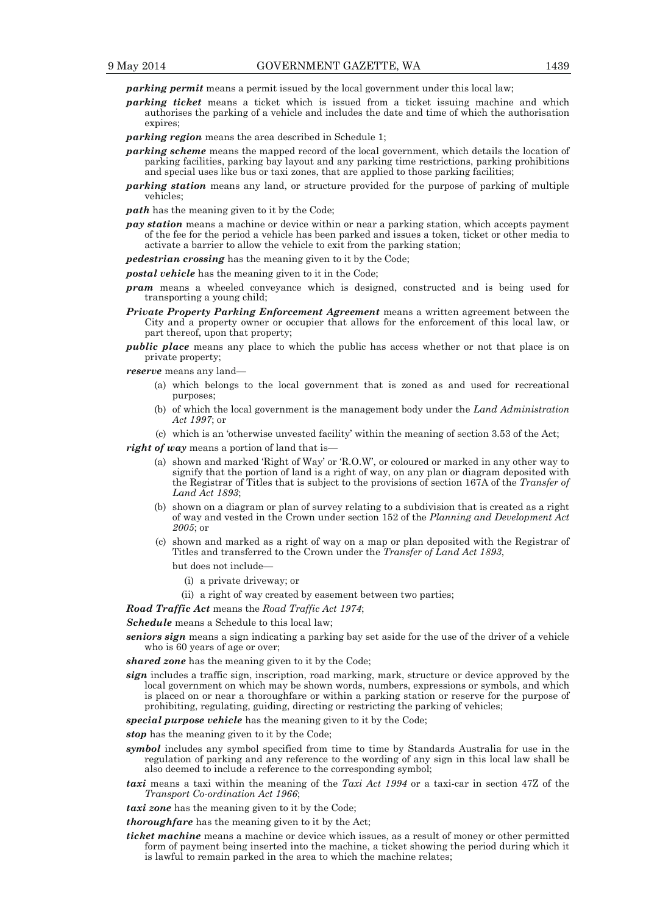*parking permit* means a permit issued by the local government under this local law;

- *parking ticket* means a ticket which is issued from a ticket issuing machine and which authorises the parking of a vehicle and includes the date and time of which the authorisation expires;
- *parking region* means the area described in Schedule 1;
- *parking scheme* means the mapped record of the local government, which details the location of parking facilities, parking bay layout and any parking time restrictions, parking prohibitions and special uses like bus or taxi zones, that are applied to those parking facilities;
- *parking station* means any land, or structure provided for the purpose of parking of multiple vehicles;
- *path* has the meaning given to it by the Code;
- *pay station* means a machine or device within or near a parking station, which accepts payment of the fee for the period a vehicle has been parked and issues a token, ticket or other media to activate a barrier to allow the vehicle to exit from the parking station;
- *pedestrian crossing* has the meaning given to it by the Code:
- *postal vehicle* has the meaning given to it in the Code;
- *pram* means a wheeled conveyance which is designed, constructed and is being used for transporting a young child;
- *Private Property Parking Enforcement Agreement* means a written agreement between the City and a property owner or occupier that allows for the enforcement of this local law, or part thereof, upon that property;
- *public place* means any place to which the public has access whether or not that place is on private property;

*reserve* means any land—

- (a) which belongs to the local government that is zoned as and used for recreational purposes;
- (b) of which the local government is the management body under the *Land Administration Act 1997*; or
- (c) which is an 'otherwise unvested facility' within the meaning of section 3.53 of the Act;

*right of way* means a portion of land that is—

- (a) shown and marked 'Right of Way' or 'R.O.W', or coloured or marked in any other way to signify that the portion of land is a right of way, on any plan or diagram deposited with the Registrar of Titles that is subject to the provisions of section 167A of the *Transfer of Land Act 1893*;
- (b) shown on a diagram or plan of survey relating to a subdivision that is created as a right of way and vested in the Crown under section 152 of the *Planning and Development Act 2005*; or
- (c) shown and marked as a right of way on a map or plan deposited with the Registrar of Titles and transferred to the Crown under the *Transfer of Land Act 1893*,
	- but does not include—
		- (i) a private driveway; or
		- (ii) a right of way created by easement between two parties;

*Road Traffic Act* means the *Road Traffic Act 1974*;

*Schedule* means a Schedule to this local law;

*seniors sign* means a sign indicating a parking bay set aside for the use of the driver of a vehicle who is 60 years of age or over;

*shared zone* has the meaning given to it by the Code;

- *sign* includes a traffic sign, inscription, road marking, mark, structure or device approved by the local government on which may be shown words, numbers, expressions or symbols, and which is placed on or near a thoroughfare or within a parking station or reserve for the purpose of prohibiting, regulating, guiding, directing or restricting the parking of vehicles;
- *special purpose vehicle* has the meaning given to it by the Code;

*stop* has the meaning given to it by the Code;

- *symbol* includes any symbol specified from time to time by Standards Australia for use in the regulation of parking and any reference to the wording of any sign in this local law shall be also deemed to include a reference to the corresponding symbol;
- *taxi* means a taxi within the meaning of the *Taxi Act 1994* or a taxi-car in section 47Z of the *Transport Co-ordination Act 1966*;

*taxi zone* has the meaning given to it by the Code;

*thoroughfare* has the meaning given to it by the Act;

*ticket machine* means a machine or device which issues, as a result of money or other permitted form of payment being inserted into the machine, a ticket showing the period during which it is lawful to remain parked in the area to which the machine relates;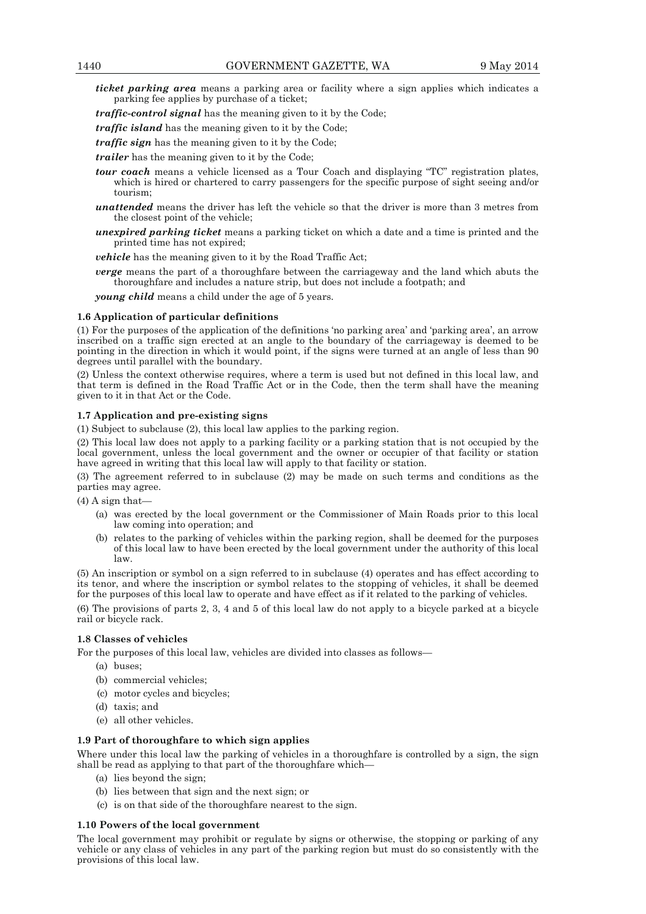*ticket parking area* means a parking area or facility where a sign applies which indicates a parking fee applies by purchase of a ticket;

*traffic-control signal* has the meaning given to it by the Code;

*traffic island* has the meaning given to it by the Code;

*traffic sign* has the meaning given to it by the Code;

*trailer* has the meaning given to it by the Code;

- *tour coach* means a vehicle licensed as a Tour Coach and displaying "TC" registration plates, which is hired or chartered to carry passengers for the specific purpose of sight seeing and/or tourism;
- *unattended* means the driver has left the vehicle so that the driver is more than 3 metres from the closest point of the vehicle;
- *unexpired parking ticket* means a parking ticket on which a date and a time is printed and the printed time has not expired;

*vehicle* has the meaning given to it by the Road Traffic Act;

*verge* means the part of a thoroughfare between the carriageway and the land which abuts the thoroughfare and includes a nature strip, but does not include a footpath; and

*young child* means a child under the age of 5 years.

#### **1.6 Application of particular definitions**

(1) For the purposes of the application of the definitions 'no parking area' and 'parking area', an arrow inscribed on a traffic sign erected at an angle to the boundary of the carriageway is deemed to be pointing in the direction in which it would point, if the signs were turned at an angle of less than 90 degrees until parallel with the boundary.

(2) Unless the context otherwise requires, where a term is used but not defined in this local law, and that term is defined in the Road Traffic Act or in the Code, then the term shall have the meaning given to it in that Act or the Code.

#### **1.7 Application and pre-existing signs**

(1) Subject to subclause (2), this local law applies to the parking region.

(2) This local law does not apply to a parking facility or a parking station that is not occupied by the local government, unless the local government and the owner or occupier of that facility or station have agreed in writing that this local law will apply to that facility or station.

(3) The agreement referred to in subclause (2) may be made on such terms and conditions as the parties may agree.

 $(4)$  A sign that-

- (a) was erected by the local government or the Commissioner of Main Roads prior to this local law coming into operation; and
- (b) relates to the parking of vehicles within the parking region, shall be deemed for the purposes of this local law to have been erected by the local government under the authority of this local law.

(5) An inscription or symbol on a sign referred to in subclause (4) operates and has effect according to its tenor, and where the inscription or symbol relates to the stopping of vehicles, it shall be deemed for the purposes of this local law to operate and have effect as if it related to the parking of vehicles.

(6) The provisions of parts 2, 3, 4 and 5 of this local law do not apply to a bicycle parked at a bicycle rail or bicycle rack.

#### **1.8 Classes of vehicles**

For the purposes of this local law, vehicles are divided into classes as follows—

- (a) buses;
- (b) commercial vehicles;
- (c) motor cycles and bicycles;
- (d) taxis; and
- (e) all other vehicles.

## **1.9 Part of thoroughfare to which sign applies**

Where under this local law the parking of vehicles in a thoroughfare is controlled by a sign, the sign shall be read as applying to that part of the thoroughfare which—

- (a) lies beyond the sign;
- (b) lies between that sign and the next sign; or
- (c) is on that side of the thoroughfare nearest to the sign.

#### **1.10 Powers of the local government**

The local government may prohibit or regulate by signs or otherwise, the stopping or parking of any vehicle or any class of vehicles in any part of the parking region but must do so consistently with the provisions of this local law.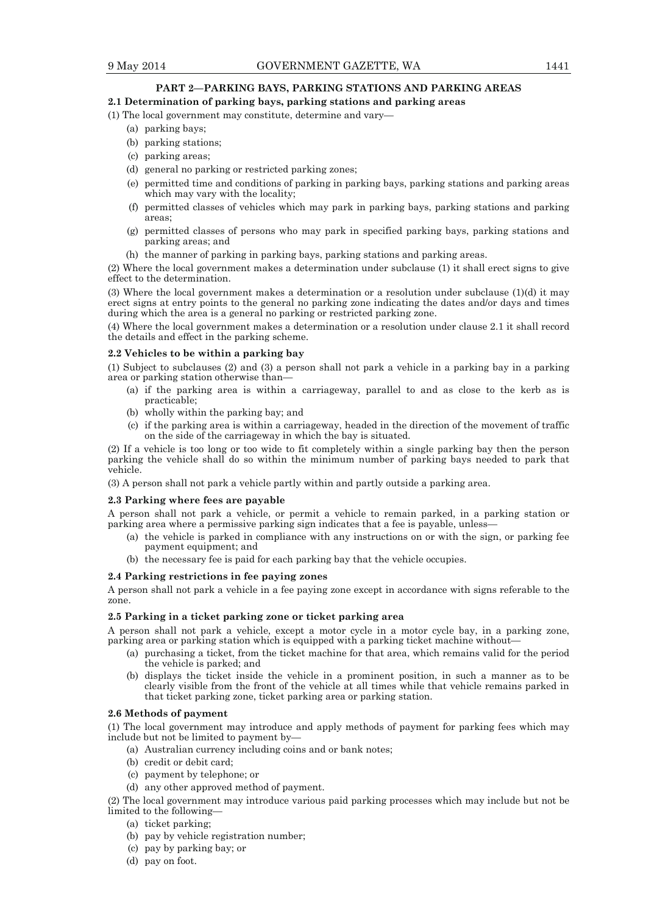## **PART 2—PARKING BAYS, PARKING STATIONS AND PARKING AREAS**

## **2.1 Determination of parking bays, parking stations and parking areas**

(1) The local government may constitute, determine and vary—

- (a) parking bays;
- (b) parking stations;
- (c) parking areas;
- (d) general no parking or restricted parking zones;
- (e) permitted time and conditions of parking in parking bays, parking stations and parking areas which may vary with the locality;
- (f) permitted classes of vehicles which may park in parking bays, parking stations and parking areas;
- (g) permitted classes of persons who may park in specified parking bays, parking stations and parking areas; and
- (h) the manner of parking in parking bays, parking stations and parking areas.

(2) Where the local government makes a determination under subclause (1) it shall erect signs to give effect to the determination.

(3) Where the local government makes a determination or a resolution under subclause (1)(d) it may erect signs at entry points to the general no parking zone indicating the dates and/or days and times during which the area is a general no parking or restricted parking zone.

(4) Where the local government makes a determination or a resolution under clause 2.1 it shall record the details and effect in the parking scheme.

#### **2.2 Vehicles to be within a parking bay**

(1) Subject to subclauses (2) and (3) a person shall not park a vehicle in a parking bay in a parking area or parking station otherwise than—

- (a) if the parking area is within a carriageway, parallel to and as close to the kerb as is practicable;
- (b) wholly within the parking bay; and
- (c) if the parking area is within a carriageway, headed in the direction of the movement of traffic on the side of the carriageway in which the bay is situated.

(2) If a vehicle is too long or too wide to fit completely within a single parking bay then the person parking the vehicle shall do so within the minimum number of parking bays needed to park that vehicle.

(3) A person shall not park a vehicle partly within and partly outside a parking area.

#### **2.3 Parking where fees are payable**

A person shall not park a vehicle, or permit a vehicle to remain parked, in a parking station or parking area where a permissive parking sign indicates that a fee is payable, unless—

- (a) the vehicle is parked in compliance with any instructions on or with the sign, or parking fee payment equipment; and
- (b) the necessary fee is paid for each parking bay that the vehicle occupies.

## **2.4 Parking restrictions in fee paying zones**

A person shall not park a vehicle in a fee paying zone except in accordance with signs referable to the zone.

#### **2.5 Parking in a ticket parking zone or ticket parking area**

A person shall not park a vehicle, except a motor cycle in a motor cycle bay, in a parking zone, parking area or parking station which is equipped with a parking ticket machine without—

- (a) purchasing a ticket, from the ticket machine for that area, which remains valid for the period the vehicle is parked; and
- (b) displays the ticket inside the vehicle in a prominent position, in such a manner as to be clearly visible from the front of the vehicle at all times while that vehicle remains parked in that ticket parking zone, ticket parking area or parking station.

#### **2.6 Methods of payment**

(1) The local government may introduce and apply methods of payment for parking fees which may include but not be limited to payment by—

- (a) Australian currency including coins and or bank notes;
- (b) credit or debit card;
- (c) payment by telephone; or
- (d) any other approved method of payment.

(2) The local government may introduce various paid parking processes which may include but not be limited to the following—

- (a) ticket parking;
- (b) pay by vehicle registration number;
- (c) pay by parking bay; or
- (d) pay on foot.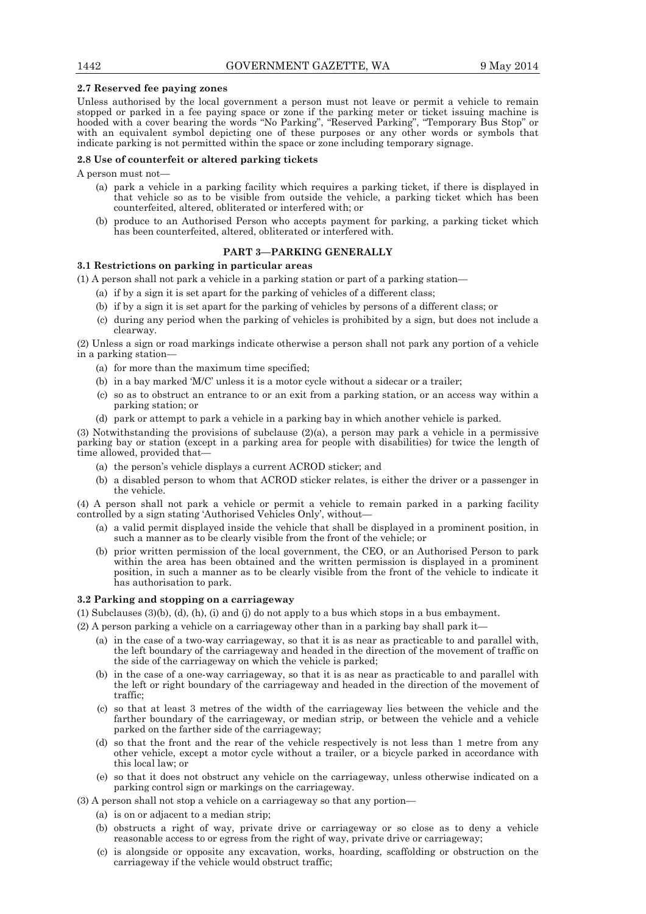## **2.7 Reserved fee paying zones**

Unless authorised by the local government a person must not leave or permit a vehicle to remain stopped or parked in a fee paying space or zone if the parking meter or ticket issuing machine is hooded with a cover bearing the words "No Parking", "Reserved Parking", "Temporary Bus Stop" or with an equivalent symbol depicting one of these purposes or any other words or symbols that indicate parking is not permitted within the space or zone including temporary signage.

## **2.8 Use of counterfeit or altered parking tickets**

A person must not—

- (a) park a vehicle in a parking facility which requires a parking ticket, if there is displayed in that vehicle so as to be visible from outside the vehicle, a parking ticket which has been counterfeited, altered, obliterated or interfered with; or
- (b) produce to an Authorised Person who accepts payment for parking, a parking ticket which has been counterfeited, altered, obliterated or interfered with.

## **PART 3—PARKING GENERALLY**

## **3.1 Restrictions on parking in particular areas**

(1) A person shall not park a vehicle in a parking station or part of a parking station—

- (a) if by a sign it is set apart for the parking of vehicles of a different class;
- (b) if by a sign it is set apart for the parking of vehicles by persons of a different class; or
- (c) during any period when the parking of vehicles is prohibited by a sign, but does not include a clearway.

(2) Unless a sign or road markings indicate otherwise a person shall not park any portion of a vehicle in a parking station—

- (a) for more than the maximum time specified;
- (b) in a bay marked 'M/C' unless it is a motor cycle without a sidecar or a trailer;
- (c) so as to obstruct an entrance to or an exit from a parking station, or an access way within a parking station; or
- (d) park or attempt to park a vehicle in a parking bay in which another vehicle is parked.

(3) Notwithstanding the provisions of subclause (2)(a), a person may park a vehicle in a permissive parking bay or station (except in a parking area for people with disabilities) for twice the length of time allowed, provided that—

- (a) the person's vehicle displays a current ACROD sticker; and
- (b) a disabled person to whom that ACROD sticker relates, is either the driver or a passenger in the vehicle.

(4) A person shall not park a vehicle or permit a vehicle to remain parked in a parking facility controlled by a sign stating 'Authorised Vehicles Only', without—

- (a) a valid permit displayed inside the vehicle that shall be displayed in a prominent position, in such a manner as to be clearly visible from the front of the vehicle; or
- (b) prior written permission of the local government, the CEO, or an Authorised Person to park within the area has been obtained and the written permission is displayed in a prominent position, in such a manner as to be clearly visible from the front of the vehicle to indicate it has authorisation to park.

## **3.2 Parking and stopping on a carriageway**

(1) Subclauses (3)(b), (d), (h), (i) and (j) do not apply to a bus which stops in a bus embayment.

- (2) A person parking a vehicle on a carriageway other than in a parking bay shall park it—
	- (a) in the case of a two-way carriageway, so that it is as near as practicable to and parallel with, the left boundary of the carriageway and headed in the direction of the movement of traffic on the side of the carriageway on which the vehicle is parked;
	- (b) in the case of a one-way carriageway, so that it is as near as practicable to and parallel with the left or right boundary of the carriageway and headed in the direction of the movement of traffic;
	- (c) so that at least 3 metres of the width of the carriageway lies between the vehicle and the farther boundary of the carriageway, or median strip, or between the vehicle and a vehicle parked on the farther side of the carriageway;
	- (d) so that the front and the rear of the vehicle respectively is not less than 1 metre from any other vehicle, except a motor cycle without a trailer, or a bicycle parked in accordance with this local law; or
	- (e) so that it does not obstruct any vehicle on the carriageway, unless otherwise indicated on a parking control sign or markings on the carriageway.
- (3) A person shall not stop a vehicle on a carriageway so that any portion—
	- (a) is on or adjacent to a median strip;
	- (b) obstructs a right of way, private drive or carriageway or so close as to deny a vehicle reasonable access to or egress from the right of way, private drive or carriageway;
	- (c) is alongside or opposite any excavation, works, hoarding, scaffolding or obstruction on the carriageway if the vehicle would obstruct traffic;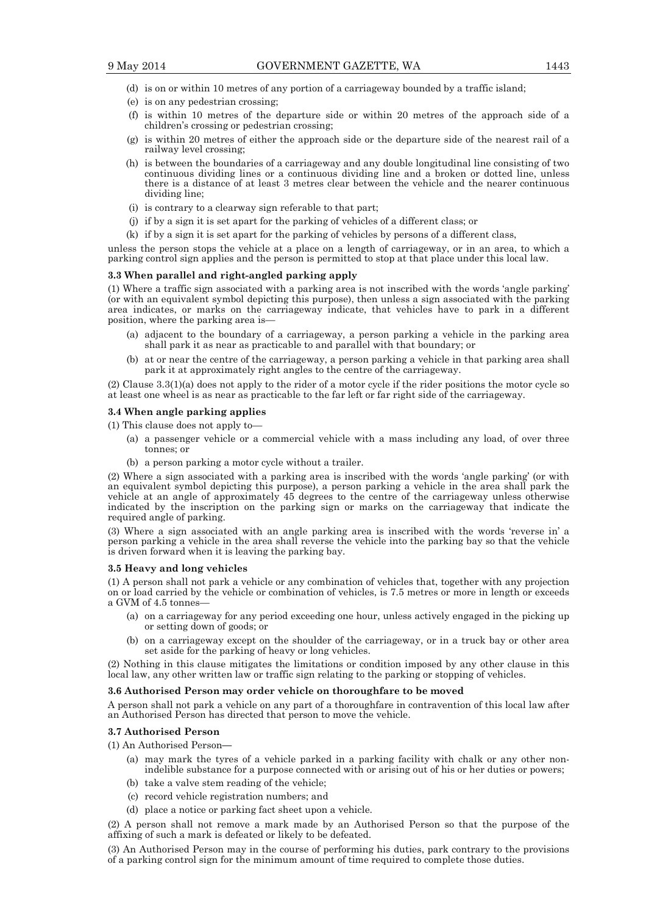- (d) is on or within 10 metres of any portion of a carriageway bounded by a traffic island;
- (e) is on any pedestrian crossing;
- (f) is within 10 metres of the departure side or within 20 metres of the approach side of a children's crossing or pedestrian crossing;
- (g) is within 20 metres of either the approach side or the departure side of the nearest rail of a railway level crossing;
- (h) is between the boundaries of a carriageway and any double longitudinal line consisting of two continuous dividing lines or a continuous dividing line and a broken or dotted line, unless there is a distance of at least 3 metres clear between the vehicle and the nearer continuous dividing line;
- (i) is contrary to a clearway sign referable to that part;
- (j) if by a sign it is set apart for the parking of vehicles of a different class; or
- (k) if by a sign it is set apart for the parking of vehicles by persons of a different class,

unless the person stops the vehicle at a place on a length of carriageway, or in an area, to which a parking control sign applies and the person is permitted to stop at that place under this local law.

## **3.3 When parallel and right-angled parking apply**

(1) Where a traffic sign associated with a parking area is not inscribed with the words 'angle parking' (or with an equivalent symbol depicting this purpose), then unless a sign associated with the parking area indicates, or marks on the carriageway indicate, that vehicles have to park in a different position, where the parking area is—

- (a) adjacent to the boundary of a carriageway, a person parking a vehicle in the parking area shall park it as near as practicable to and parallel with that boundary; or
- (b) at or near the centre of the carriageway, a person parking a vehicle in that parking area shall park it at approximately right angles to the centre of the carriageway.

(2) Clause 3.3(1)(a) does not apply to the rider of a motor cycle if the rider positions the motor cycle so at least one wheel is as near as practicable to the far left or far right side of the carriageway.

### **3.4 When angle parking applies**

(1) This clause does not apply to—

- (a) a passenger vehicle or a commercial vehicle with a mass including any load, of over three tonnes; or
- (b) a person parking a motor cycle without a trailer.

(2) Where a sign associated with a parking area is inscribed with the words 'angle parking' (or with an equivalent symbol depicting this purpose), a person parking a vehicle in the area shall park the vehicle at an angle of approximately 45 degrees to the centre of the carriageway unless otherwise indicated by the inscription on the parking sign or marks on the carriageway that indicate the required angle of parking.

(3) Where a sign associated with an angle parking area is inscribed with the words 'reverse in' a person parking a vehicle in the area shall reverse the vehicle into the parking bay so that the vehicle is driven forward when it is leaving the parking bay.

#### **3.5 Heavy and long vehicles**

(1) A person shall not park a vehicle or any combination of vehicles that, together with any projection on or load carried by the vehicle or combination of vehicles, is 7.5 metres or more in length or exceeds a GVM of 4.5 tonnes-

- (a) on a carriageway for any period exceeding one hour, unless actively engaged in the picking up or setting down of goods; or
- (b) on a carriageway except on the shoulder of the carriageway, or in a truck bay or other area set aside for the parking of heavy or long vehicles.

(2) Nothing in this clause mitigates the limitations or condition imposed by any other clause in this local law, any other written law or traffic sign relating to the parking or stopping of vehicles.

#### **3.6 Authorised Person may order vehicle on thoroughfare to be moved**

A person shall not park a vehicle on any part of a thoroughfare in contravention of this local law after an Authorised Person has directed that person to move the vehicle.

## **3.7 Authorised Person**

(1) An Authorised Person**—** 

- (a) may mark the tyres of a vehicle parked in a parking facility with chalk or any other nonindelible substance for a purpose connected with or arising out of his or her duties or powers;
- (b) take a valve stem reading of the vehicle;
- (c) record vehicle registration numbers; and
- (d) place a notice or parking fact sheet upon a vehicle.

(2) A person shall not remove a mark made by an Authorised Person so that the purpose of the affixing of such a mark is defeated or likely to be defeated.

(3) An Authorised Person may in the course of performing his duties, park contrary to the provisions of a parking control sign for the minimum amount of time required to complete those duties.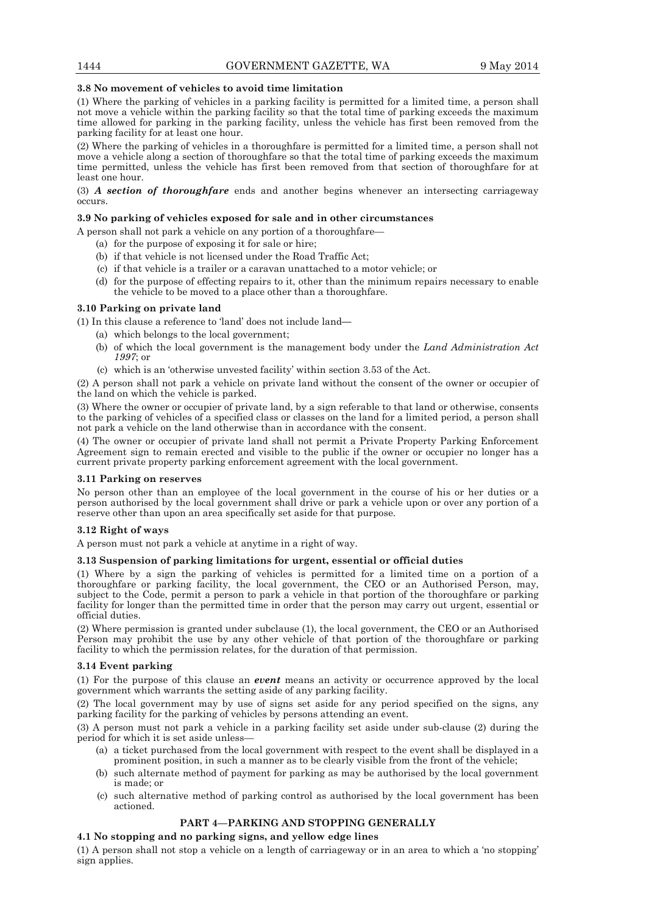## **3.8 No movement of vehicles to avoid time limitation**

(1) Where the parking of vehicles in a parking facility is permitted for a limited time, a person shall not move a vehicle within the parking facility so that the total time of parking exceeds the maximum time allowed for parking in the parking facility, unless the vehicle has first been removed from the parking facility for at least one hour.

(2) Where the parking of vehicles in a thoroughfare is permitted for a limited time, a person shall not move a vehicle along a section of thoroughfare so that the total time of parking exceeds the maximum time permitted, unless the vehicle has first been removed from that section of thoroughfare for at least one hour.

(3) *A section of thoroughfare* ends and another begins whenever an intersecting carriageway occurs.

## **3.9 No parking of vehicles exposed for sale and in other circumstances**

A person shall not park a vehicle on any portion of a thoroughfare—

- (a) for the purpose of exposing it for sale or hire;
- (b) if that vehicle is not licensed under the Road Traffic Act;
- (c) if that vehicle is a trailer or a caravan unattached to a motor vehicle; or
- (d) for the purpose of effecting repairs to it, other than the minimum repairs necessary to enable the vehicle to be moved to a place other than a thoroughfare.

## **3.10 Parking on private land**

(1) In this clause a reference to 'land' does not include land**—** 

- (a) which belongs to the local government;
	- (b) of which the local government is the management body under the *Land Administration Act 1997*; or
	- (c) which is an 'otherwise unvested facility' within section 3.53 of the Act.

(2) A person shall not park a vehicle on private land without the consent of the owner or occupier of the land on which the vehicle is parked.

(3) Where the owner or occupier of private land, by a sign referable to that land or otherwise, consents to the parking of vehicles of a specified class or classes on the land for a limited period, a person shall not park a vehicle on the land otherwise than in accordance with the consent.

(4) The owner or occupier of private land shall not permit a Private Property Parking Enforcement Agreement sign to remain erected and visible to the public if the owner or occupier no longer has a current private property parking enforcement agreement with the local government.

## **3.11 Parking on reserves**

No person other than an employee of the local government in the course of his or her duties or a person authorised by the local government shall drive or park a vehicle upon or over any portion of a reserve other than upon an area specifically set aside for that purpose.

### **3.12 Right of ways**

A person must not park a vehicle at anytime in a right of way.

### **3.13 Suspension of parking limitations for urgent, essential or official duties**

(1) Where by a sign the parking of vehicles is permitted for a limited time on a portion of a thoroughfare or parking facility, the local government, the CEO or an Authorised Person, may, subject to the Code, permit a person to park a vehicle in that portion of the thoroughfare or parking facility for longer than the permitted time in order that the person may carry out urgent, essential or official duties.

(2) Where permission is granted under subclause (1), the local government, the CEO or an Authorised Person may prohibit the use by any other vehicle of that portion of the thoroughfare or parking facility to which the permission relates, for the duration of that permission.

## **3.14 Event parking**

(1) For the purpose of this clause an *event* means an activity or occurrence approved by the local government which warrants the setting aside of any parking facility.

(2) The local government may by use of signs set aside for any period specified on the signs, any parking facility for the parking of vehicles by persons attending an event.

(3) A person must not park a vehicle in a parking facility set aside under sub-clause (2) during the period for which it is set aside unless—

- (a) a ticket purchased from the local government with respect to the event shall be displayed in a prominent position, in such a manner as to be clearly visible from the front of the vehicle;
- (b) such alternate method of payment for parking as may be authorised by the local government is made; or
- (c) such alternative method of parking control as authorised by the local government has been actioned.

## **PART 4—PARKING AND STOPPING GENERALLY**

## **4.1 No stopping and no parking signs, and yellow edge lines**

(1) A person shall not stop a vehicle on a length of carriageway or in an area to which a 'no stopping' sign applies.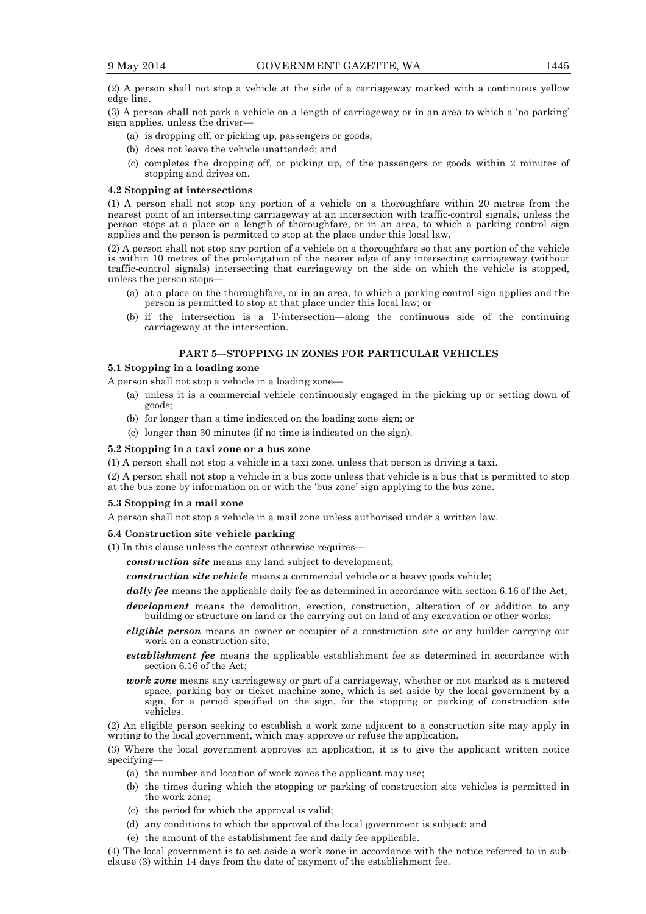(2) A person shall not stop a vehicle at the side of a carriageway marked with a continuous yellow edge line.

(3) A person shall not park a vehicle on a length of carriageway or in an area to which a 'no parking' sign applies, unless the driver—

- (a) is dropping off, or picking up, passengers or goods;
- (b) does not leave the vehicle unattended; and
- (c) completes the dropping off, or picking up, of the passengers or goods within 2 minutes of stopping and drives on.

#### **4.2 Stopping at intersections**

(1) A person shall not stop any portion of a vehicle on a thoroughfare within 20 metres from the nearest point of an intersecting carriageway at an intersection with traffic-control signals, unless the person stops at a place on a length of thoroughfare, or in an area, to which a parking control sign applies and the person is permitted to stop at the place under this local law.

(2) A person shall not stop any portion of a vehicle on a thoroughfare so that any portion of the vehicle is within 10 metres of the prolongation of the nearer edge of any intersecting carriageway (without traffic-control signals) intersecting that carriageway on the side on which the vehicle is stopped, unless the person stops—

- (a) at a place on the thoroughfare, or in an area, to which a parking control sign applies and the person is permitted to stop at that place under this local law; or
- (b) if the intersection is a T-intersection—along the continuous side of the continuing carriageway at the intersection.

## **PART 5—STOPPING IN ZONES FOR PARTICULAR VEHICLES**

#### **5.1 Stopping in a loading zone**

A person shall not stop a vehicle in a loading zone—

- (a) unless it is a commercial vehicle continuously engaged in the picking up or setting down of goods;
- (b) for longer than a time indicated on the loading zone sign; or
- (c) longer than 30 minutes (if no time is indicated on the sign).

#### **5.2 Stopping in a taxi zone or a bus zone**

(1) A person shall not stop a vehicle in a taxi zone, unless that person is driving a taxi.

(2) A person shall not stop a vehicle in a bus zone unless that vehicle is a bus that is permitted to stop at the bus zone by information on or with the 'bus zone' sign applying to the bus zone.

#### **5.3 Stopping in a mail zone**

A person shall not stop a vehicle in a mail zone unless authorised under a written law.

#### **5.4 Construction site vehicle parking**

- (1) In this clause unless the context otherwise requires
	- *construction site* means any land subject to development;

*construction site vehicle* means a commercial vehicle or a heavy goods vehicle;

*daily fee* means the applicable daily fee as determined in accordance with section 6.16 of the Act;

- *development* means the demolition, erection, construction, alteration of or addition to any building or structure on land or the carrying out on land of any excavation or other works;
- *eligible person* means an owner or occupier of a construction site or any builder carrying out work on a construction site;
- *establishment fee* means the applicable establishment fee as determined in accordance with section 6.16 of the Act;
- *work zone* means any carriageway or part of a carriageway, whether or not marked as a metered space, parking bay or ticket machine zone, which is set aside by the local government by a sign, for a period specified on the sign, for the stopping or parking of construction site vehicles.

(2) An eligible person seeking to establish a work zone adjacent to a construction site may apply in writing to the local government, which may approve or refuse the application.

(3) Where the local government approves an application, it is to give the applicant written notice specifying—

- (a) the number and location of work zones the applicant may use;
- (b) the times during which the stopping or parking of construction site vehicles is permitted in the work zone;
- (c) the period for which the approval is valid;
- (d) any conditions to which the approval of the local government is subject; and
- (e) the amount of the establishment fee and daily fee applicable.

(4) The local government is to set aside a work zone in accordance with the notice referred to in subclause (3) within 14 days from the date of payment of the establishment fee.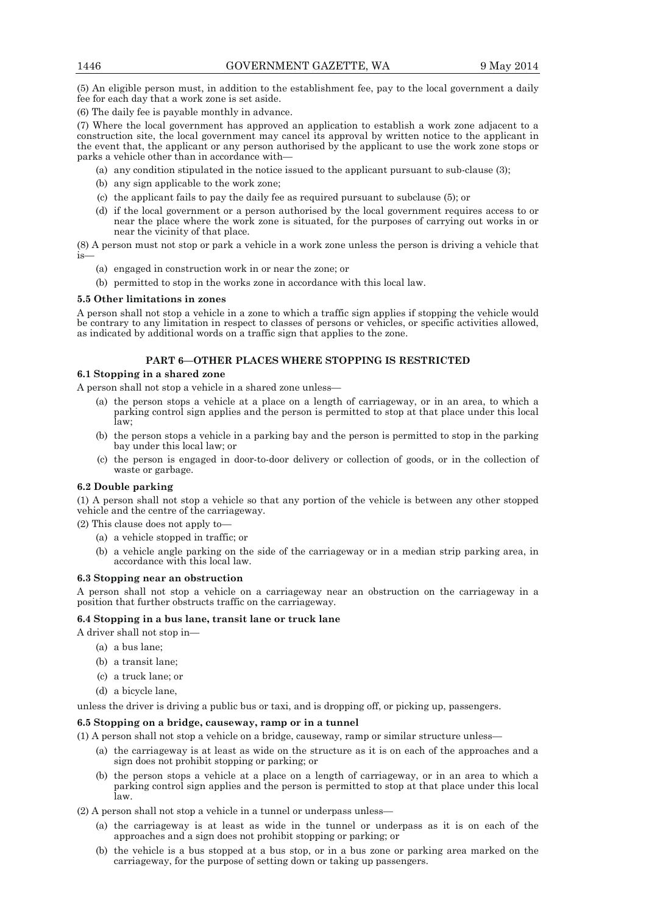(5) An eligible person must, in addition to the establishment fee, pay to the local government a daily fee for each day that a work zone is set aside.

(6) The daily fee is payable monthly in advance.

(7) Where the local government has approved an application to establish a work zone adjacent to a construction site, the local government may cancel its approval by written notice to the applicant in the event that, the applicant or any person authorised by the applicant to use the work zone stops or parks a vehicle other than in accordance with—

- (a) any condition stipulated in the notice issued to the applicant pursuant to sub-clause (3);
- (b) any sign applicable to the work zone;
- (c) the applicant fails to pay the daily fee as required pursuant to subclause (5); or
- (d) if the local government or a person authorised by the local government requires access to or near the place where the work zone is situated, for the purposes of carrying out works in or near the vicinity of that place.

(8) A person must not stop or park a vehicle in a work zone unless the person is driving a vehicle that is—

- (a) engaged in construction work in or near the zone; or
- (b) permitted to stop in the works zone in accordance with this local law.

## **5.5 Other limitations in zones**

A person shall not stop a vehicle in a zone to which a traffic sign applies if stopping the vehicle would be contrary to any limitation in respect to classes of persons or vehicles, or specific activities allowed, as indicated by additional words on a traffic sign that applies to the zone.

## **PART 6—OTHER PLACES WHERE STOPPING IS RESTRICTED**

## **6.1 Stopping in a shared zone**

A person shall not stop a vehicle in a shared zone unless—

- (a) the person stops a vehicle at a place on a length of carriageway, or in an area, to which a parking control sign applies and the person is permitted to stop at that place under this local law;
- (b) the person stops a vehicle in a parking bay and the person is permitted to stop in the parking bay under this local law; or
- (c) the person is engaged in door-to-door delivery or collection of goods, or in the collection of waste or garbage.

## **6.2 Double parking**

(1) A person shall not stop a vehicle so that any portion of the vehicle is between any other stopped vehicle and the centre of the carriageway.

(2) This clause does not apply to—

- (a) a vehicle stopped in traffic; or
- (b) a vehicle angle parking on the side of the carriageway or in a median strip parking area, in accordance with this local law.

### **6.3 Stopping near an obstruction**

A person shall not stop a vehicle on a carriageway near an obstruction on the carriageway in a position that further obstructs traffic on the carriageway.

### **6.4 Stopping in a bus lane, transit lane or truck lane**

A driver shall not stop in—

- (a) a bus lane;
- (b) a transit lane;
- (c) a truck lane; or
- (d) a bicycle lane,

unless the driver is driving a public bus or taxi, and is dropping off, or picking up, passengers.

## **6.5 Stopping on a bridge, causeway, ramp or in a tunnel**

(1) A person shall not stop a vehicle on a bridge, causeway, ramp or similar structure unless—

- (a) the carriageway is at least as wide on the structure as it is on each of the approaches and a sign does not prohibit stopping or parking; or
- (b) the person stops a vehicle at a place on a length of carriageway, or in an area to which a parking control sign applies and the person is permitted to stop at that place under this local law.

(2) A person shall not stop a vehicle in a tunnel or underpass unless—

- (a) the carriageway is at least as wide in the tunnel or underpass as it is on each of the approaches and a sign does not prohibit stopping or parking; or
- (b) the vehicle is a bus stopped at a bus stop, or in a bus zone or parking area marked on the carriageway, for the purpose of setting down or taking up passengers.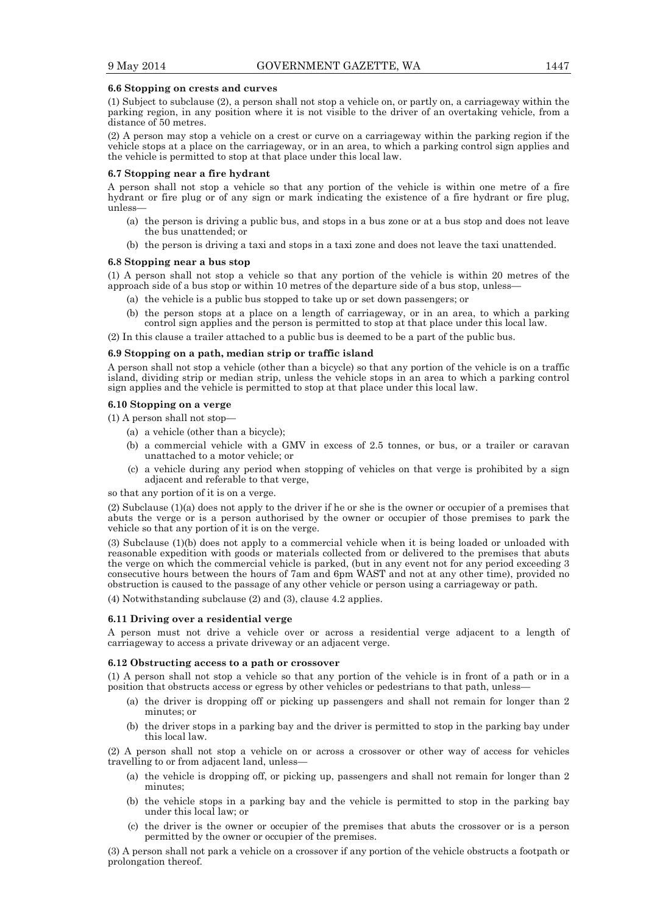#### **6.6 Stopping on crests and curves**

(1) Subject to subclause (2), a person shall not stop a vehicle on, or partly on, a carriageway within the parking region, in any position where it is not visible to the driver of an overtaking vehicle, from a distance of 50 metres.

(2) A person may stop a vehicle on a crest or curve on a carriageway within the parking region if the vehicle stops at a place on the carriageway, or in an area, to which a parking control sign applies and the vehicle is permitted to stop at that place under this local law.

## **6.7 Stopping near a fire hydrant**

A person shall not stop a vehicle so that any portion of the vehicle is within one metre of a fire hydrant or fire plug or of any sign or mark indicating the existence of a fire hydrant or fire plug, unless—

- (a) the person is driving a public bus, and stops in a bus zone or at a bus stop and does not leave the bus unattended; or
- (b) the person is driving a taxi and stops in a taxi zone and does not leave the taxi unattended.

#### **6.8 Stopping near a bus stop**

(1) A person shall not stop a vehicle so that any portion of the vehicle is within 20 metres of the approach side of a bus stop or within 10 metres of the departure side of a bus stop, unless—

- (a) the vehicle is a public bus stopped to take up or set down passengers; or
- (b) the person stops at a place on a length of carriageway, or in an area, to which a parking control sign applies and the person is permitted to stop at that place under this local law.
- (2) In this clause a trailer attached to a public bus is deemed to be a part of the public bus.

#### **6.9 Stopping on a path, median strip or traffic island**

A person shall not stop a vehicle (other than a bicycle) so that any portion of the vehicle is on a traffic island, dividing strip or median strip, unless the vehicle stops in an area to which a parking control sign applies and the vehicle is permitted to stop at that place under this local law.

### **6.10 Stopping on a verge**

(1) A person shall not stop—

- (a) a vehicle (other than a bicycle);
- (b) a commercial vehicle with a GMV in excess of 2.5 tonnes, or bus, or a trailer or caravan unattached to a motor vehicle; or
- (c) a vehicle during any period when stopping of vehicles on that verge is prohibited by a sign adjacent and referable to that verge,

so that any portion of it is on a verge.

(2) Subclause (1)(a) does not apply to the driver if he or she is the owner or occupier of a premises that abuts the verge or is a person authorised by the owner or occupier of those premises to park the vehicle so that any portion of it is on the verge.

(3) Subclause (1)(b) does not apply to a commercial vehicle when it is being loaded or unloaded with reasonable expedition with goods or materials collected from or delivered to the premises that abuts the verge on which the commercial vehicle is parked, (but in any event not for any period exceeding 3 consecutive hours between the hours of 7am and 6pm WAST and not at any other time), provided no obstruction is caused to the passage of any other vehicle or person using a carriageway or path.

(4) Notwithstanding subclause (2) and (3), clause 4.2 applies.

#### **6.11 Driving over a residential verge**

A person must not drive a vehicle over or across a residential verge adjacent to a length of carriageway to access a private driveway or an adjacent verge.

#### **6.12 Obstructing access to a path or crossover**

(1) A person shall not stop a vehicle so that any portion of the vehicle is in front of a path or in a position that obstructs access or egress by other vehicles or pedestrians to that path, unless—

- (a) the driver is dropping off or picking up passengers and shall not remain for longer than 2 minutes; or
- (b) the driver stops in a parking bay and the driver is permitted to stop in the parking bay under this local law.

(2) A person shall not stop a vehicle on or across a crossover or other way of access for vehicles travelling to or from adjacent land, unless—

- (a) the vehicle is dropping off, or picking up, passengers and shall not remain for longer than 2 minutes;
- (b) the vehicle stops in a parking bay and the vehicle is permitted to stop in the parking bay under this local law; or
- (c) the driver is the owner or occupier of the premises that abuts the crossover or is a person permitted by the owner or occupier of the premises.

(3) A person shall not park a vehicle on a crossover if any portion of the vehicle obstructs a footpath or prolongation thereof.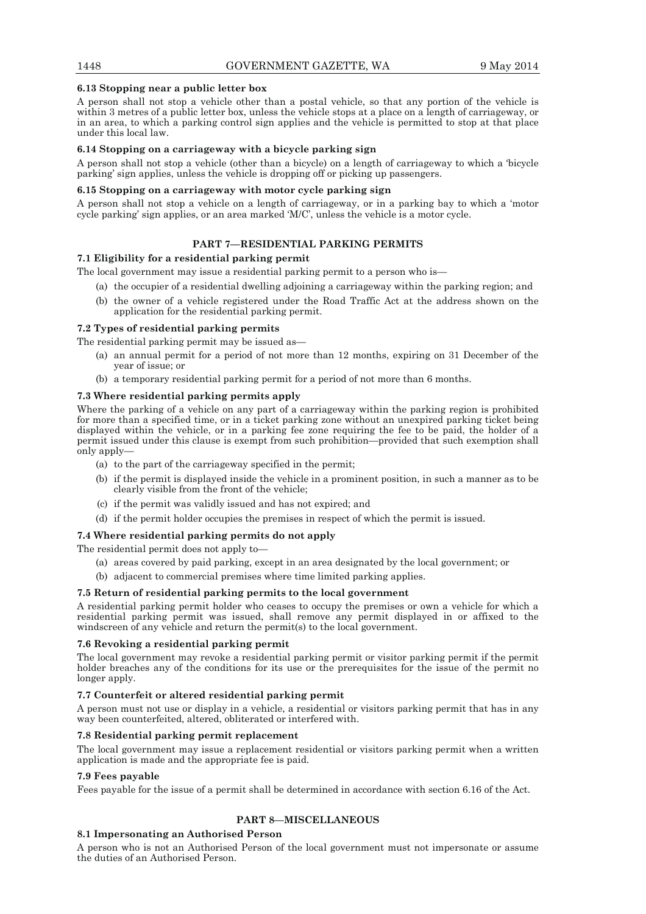## **6.13 Stopping near a public letter box**

A person shall not stop a vehicle other than a postal vehicle, so that any portion of the vehicle is within 3 metres of a public letter box, unless the vehicle stops at a place on a length of carriageway, or in an area, to which a parking control sign applies and the vehicle is permitted to stop at that place under this local law.

## **6.14 Stopping on a carriageway with a bicycle parking sign**

A person shall not stop a vehicle (other than a bicycle) on a length of carriageway to which a 'bicycle parking' sign applies, unless the vehicle is dropping off or picking up passengers.

### **6.15 Stopping on a carriageway with motor cycle parking sign**

A person shall not stop a vehicle on a length of carriageway, or in a parking bay to which a 'motor cycle parking' sign applies, or an area marked 'M/C', unless the vehicle is a motor cycle.

## **PART 7—RESIDENTIAL PARKING PERMITS**

## **7.1 Eligibility for a residential parking permit**

The local government may issue a residential parking permit to a person who is—

- (a) the occupier of a residential dwelling adjoining a carriageway within the parking region; and
- (b) the owner of a vehicle registered under the Road Traffic Act at the address shown on the application for the residential parking permit.

## **7.2 Types of residential parking permits**

The residential parking permit may be issued as—

- (a) an annual permit for a period of not more than 12 months, expiring on 31 December of the year of issue; or
- (b) a temporary residential parking permit for a period of not more than 6 months.

## **7.3 Where residential parking permits apply**

Where the parking of a vehicle on any part of a carriageway within the parking region is prohibited for more than a specified time, or in a ticket parking zone without an unexpired parking ticket being displayed within the vehicle, or in a parking fee zone requiring the fee to be paid, the holder of a permit issued under this clause is exempt from such prohibition—provided that such exemption shall only apply—

- (a) to the part of the carriageway specified in the permit;
- (b) if the permit is displayed inside the vehicle in a prominent position, in such a manner as to be clearly visible from the front of the vehicle;
- (c) if the permit was validly issued and has not expired; and
- (d) if the permit holder occupies the premises in respect of which the permit is issued.

#### **7.4 Where residential parking permits do not apply**

The residential permit does not apply to—

- (a) areas covered by paid parking, except in an area designated by the local government; or
- (b) adjacent to commercial premises where time limited parking applies.

#### **7.5 Return of residential parking permits to the local government**

A residential parking permit holder who ceases to occupy the premises or own a vehicle for which a residential parking permit was issued, shall remove any permit displayed in or affixed to the windscreen of any vehicle and return the permit(s) to the local government.

#### **7.6 Revoking a residential parking permit**

The local government may revoke a residential parking permit or visitor parking permit if the permit holder breaches any of the conditions for its use or the prerequisites for the issue of the permit no longer apply.

## **7.7 Counterfeit or altered residential parking permit**

A person must not use or display in a vehicle, a residential or visitors parking permit that has in any way been counterfeited, altered, obliterated or interfered with.

#### **7.8 Residential parking permit replacement**

The local government may issue a replacement residential or visitors parking permit when a written application is made and the appropriate fee is paid.

#### **7.9 Fees payable**

Fees payable for the issue of a permit shall be determined in accordance with section 6.16 of the Act.

## **PART 8—MISCELLANEOUS**

## **8.1 Impersonating an Authorised Person**

A person who is not an Authorised Person of the local government must not impersonate or assume the duties of an Authorised Person.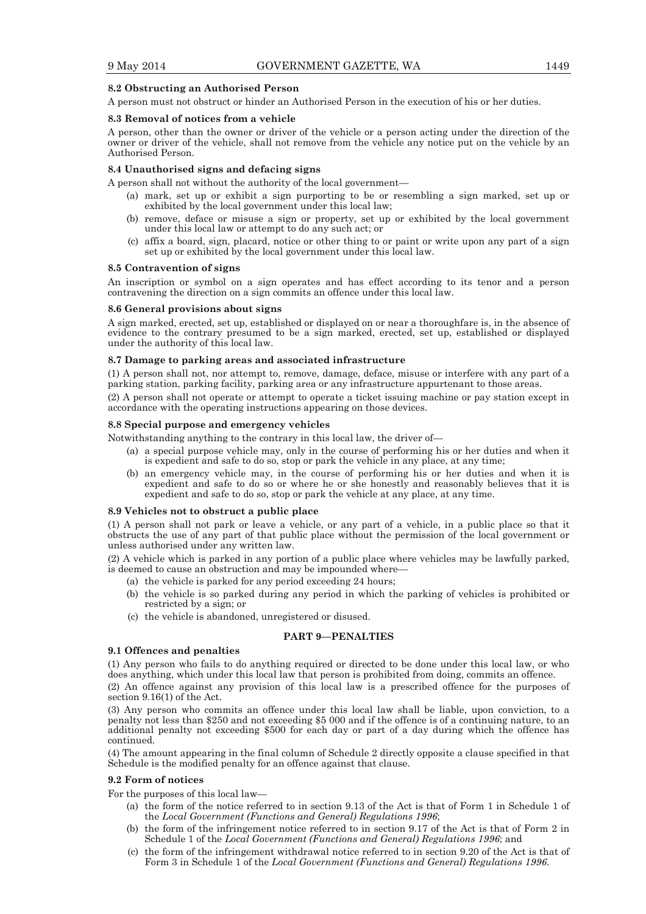## **8.2 Obstructing an Authorised Person**

A person must not obstruct or hinder an Authorised Person in the execution of his or her duties.

### **8.3 Removal of notices from a vehicle**

A person, other than the owner or driver of the vehicle or a person acting under the direction of the owner or driver of the vehicle, shall not remove from the vehicle any notice put on the vehicle by an Authorised Person.

## **8.4 Unauthorised signs and defacing signs**

A person shall not without the authority of the local government—

- (a) mark, set up or exhibit a sign purporting to be or resembling a sign marked, set up or exhibited by the local government under this local law;
- (b) remove, deface or misuse a sign or property, set up or exhibited by the local government under this local law or attempt to do any such act; or
- (c) affix a board, sign, placard, notice or other thing to or paint or write upon any part of a sign set up or exhibited by the local government under this local law.

### **8.5 Contravention of signs**

An inscription or symbol on a sign operates and has effect according to its tenor and a person contravening the direction on a sign commits an offence under this local law.

### **8.6 General provisions about signs**

A sign marked, erected, set up, established or displayed on or near a thoroughfare is, in the absence of evidence to the contrary presumed to be a sign marked, erected, set up, established or displayed under the authority of this local law.

## **8.7 Damage to parking areas and associated infrastructure**

(1) A person shall not, nor attempt to, remove, damage, deface, misuse or interfere with any part of a parking station, parking facility, parking area or any infrastructure appurtenant to those areas.

(2) A person shall not operate or attempt to operate a ticket issuing machine or pay station except in accordance with the operating instructions appearing on those devices.

### **8.8 Special purpose and emergency vehicles**

Notwithstanding anything to the contrary in this local law, the driver of—

- (a) a special purpose vehicle may, only in the course of performing his or her duties and when it is expedient and safe to do so, stop or park the vehicle in any place, at any time;
- (b) an emergency vehicle may, in the course of performing his or her duties and when it is expedient and safe to do so or where he or she honestly and reasonably believes that it is expedient and safe to do so, stop or park the vehicle at any place, at any time.

### **8.9 Vehicles not to obstruct a public place**

(1) A person shall not park or leave a vehicle, or any part of a vehicle, in a public place so that it obstructs the use of any part of that public place without the permission of the local government or unless authorised under any written law.

(2) A vehicle which is parked in any portion of a public place where vehicles may be lawfully parked, is deemed to cause an obstruction and may be impounded where-

- (a) the vehicle is parked for any period exceeding 24 hours;
- (b) the vehicle is so parked during any period in which the parking of vehicles is prohibited or restricted by a sign; or
- (c) the vehicle is abandoned, unregistered or disused.

## **PART 9—PENALTIES**

### **9.1 Offences and penalties**

(1) Any person who fails to do anything required or directed to be done under this local law, or who does anything, which under this local law that person is prohibited from doing, commits an offence.

(2) An offence against any provision of this local law is a prescribed offence for the purposes of section 9.16(1) of the Act.

(3) Any person who commits an offence under this local law shall be liable, upon conviction, to a penalty not less than \$250 and not exceeding \$5 000 and if the offence is of a continuing nature, to an additional penalty not exceeding \$500 for each day or part of a day during which the offence has continued.

(4) The amount appearing in the final column of Schedule 2 directly opposite a clause specified in that Schedule is the modified penalty for an offence against that clause.

## **9.2 Form of notices**

For the purposes of this local law—

- (a) the form of the notice referred to in section 9.13 of the Act is that of Form 1 in Schedule 1 of the *Local Government (Functions and General) Regulations 1996*;
- (b) the form of the infringement notice referred to in section 9.17 of the Act is that of Form 2 in Schedule 1 of the *Local Government (Functions and General) Regulations 1996*; and
- (c) the form of the infringement withdrawal notice referred to in section 9.20 of the Act is that of Form 3 in Schedule 1 of the *Local Government (Functions and General) Regulations 1996*.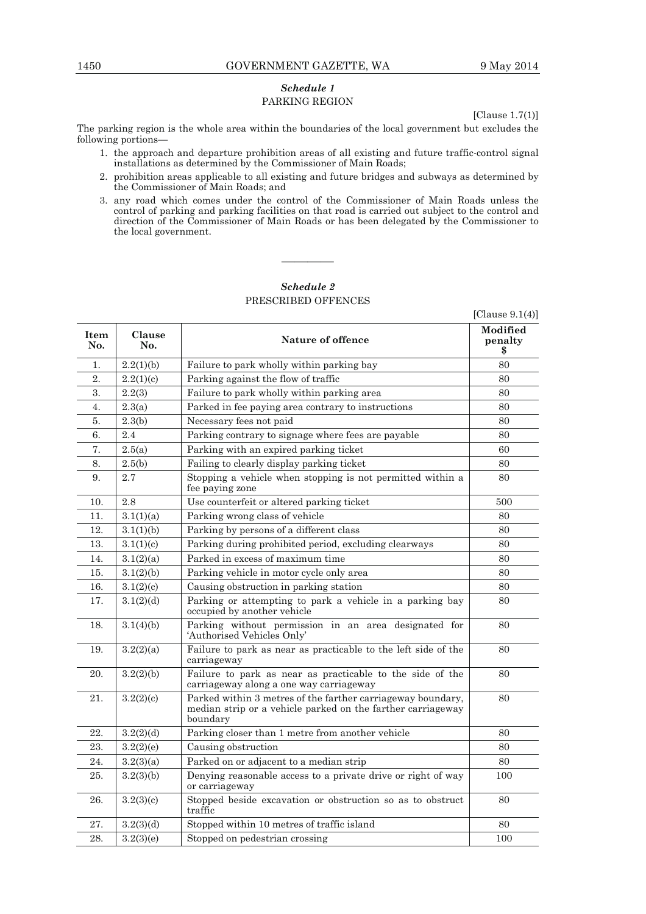# *Schedule 1*  PARKING REGION

[Clause 1.7(1)]

The parking region is the whole area within the boundaries of the local government but excludes the following portions—

- 1. the approach and departure prohibition areas of all existing and future traffic-control signal installations as determined by the Commissioner of Main Roads;
- 2. prohibition areas applicable to all existing and future bridges and subways as determined by the Commissioner of Main Roads; and
- 3. any road which comes under the control of the Commissioner of Main Roads unless the control of parking and parking facilities on that road is carried out subject to the control and direction of the Commissioner of Main Roads or has been delegated by the Commissioner to the local government.

# *Schedule 2*  PRESCRIBED OFFENCES

————

|                    |               |                                                                                                                                        | [Clause $9.1(4)$ ]        |
|--------------------|---------------|----------------------------------------------------------------------------------------------------------------------------------------|---------------------------|
| <b>Item</b><br>No. | Clause<br>No. | Nature of offence                                                                                                                      | Modified<br>penalty<br>\$ |
| 1.                 | 2.2(1)(b)     | Failure to park wholly within parking bay                                                                                              | 80                        |
| 2.                 | 2.2(1)(c)     | Parking against the flow of traffic                                                                                                    | 80                        |
| 3.                 | 2.2(3)        | Failure to park wholly within parking area                                                                                             | 80                        |
| 4.                 | 2.3(a)        | Parked in fee paying area contrary to instructions                                                                                     | 80                        |
| 5.                 | 2.3(b)        | Necessary fees not paid                                                                                                                | 80                        |
| 6.                 | 2.4           | Parking contrary to signage where fees are payable                                                                                     | 80                        |
| 7.                 | 2.5(a)        | Parking with an expired parking ticket                                                                                                 | 60                        |
| 8.                 | 2.5(b)        | Failing to clearly display parking ticket                                                                                              | 80                        |
| 9.                 | 2.7           | Stopping a vehicle when stopping is not permitted within a<br>fee paying zone                                                          | 80                        |
| 10.                | 2.8           | Use counterfeit or altered parking ticket                                                                                              | 500                       |
| 11.                | 3.1(1)(a)     | Parking wrong class of vehicle                                                                                                         | 80                        |
| 12.                | 3.1(1)(b)     | Parking by persons of a different class                                                                                                | 80                        |
| 13.                | 3.1(1)(c)     | Parking during prohibited period, excluding clearways                                                                                  | 80                        |
| 14.                | 3.1(2)(a)     | Parked in excess of maximum time                                                                                                       | 80                        |
| 15.                | 3.1(2)(b)     | Parking vehicle in motor cycle only area                                                                                               | 80                        |
| 16.                | 3.1(2)(c)     | Causing obstruction in parking station                                                                                                 | 80                        |
| 17.                | 3.1(2)(d)     | Parking or attempting to park a vehicle in a parking bay<br>occupied by another vehicle                                                | 80                        |
| 18.                | 3.1(4)(b)     | Parking without permission in an area designated for<br>'Authorised Vehicles Only'                                                     | 80                        |
| 19.                | 3.2(2)(a)     | Failure to park as near as practicable to the left side of the<br>carriageway                                                          | 80                        |
| 20.                | 3.2(2)(b)     | Failure to park as near as practicable to the side of the<br>carriageway along a one way carriageway                                   | 80                        |
| 21.                | 3.2(2)(c)     | Parked within 3 metres of the farther carriageway boundary,<br>median strip or a vehicle parked on the farther carriageway<br>boundary | 80                        |
| 22.                | 3.2(2)(d)     | Parking closer than 1 metre from another vehicle                                                                                       | 80                        |
| 23.                | 3.2(2)(e)     | Causing obstruction                                                                                                                    | 80                        |
| 24.                | 3.2(3)(a)     | Parked on or adjacent to a median strip                                                                                                | 80                        |
| 25.                | 3.2(3)(b)     | Denying reasonable access to a private drive or right of way<br>or carriageway                                                         | 100                       |
| 26.                | 3.2(3)(c)     | Stopped beside excavation or obstruction so as to obstruct<br>traffic                                                                  | 80                        |
| 27.                | 3.2(3)(d)     | Stopped within 10 metres of traffic island                                                                                             | 80                        |
| 28.                | 3.2(3)(e)     | Stopped on pedestrian crossing                                                                                                         | 100                       |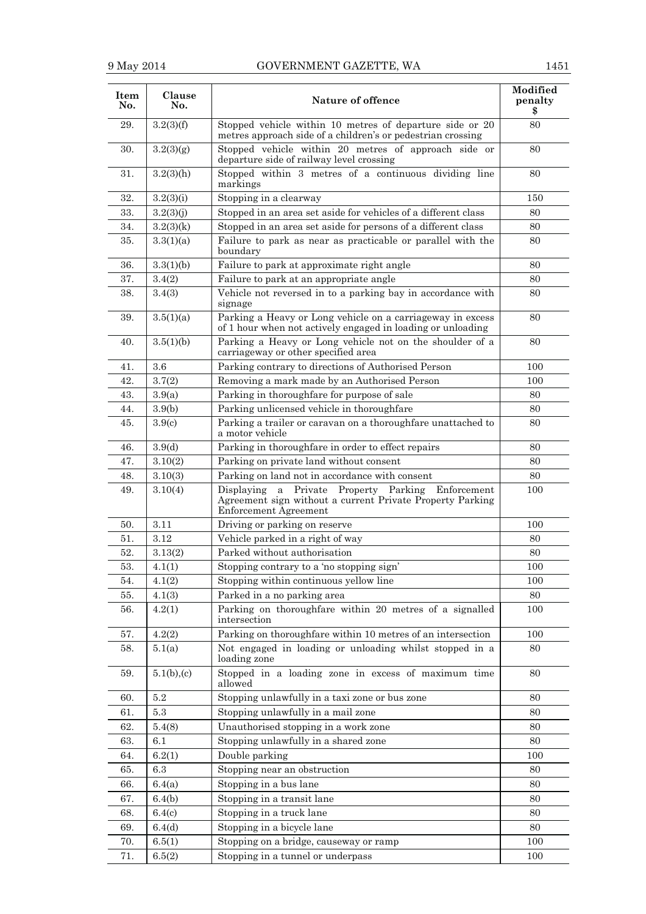|  | 451 |  |
|--|-----|--|

| Item<br>No. | Clause<br>No.      | Nature of offence                                                                                                                             | Modified<br>penalty<br>\$ |
|-------------|--------------------|-----------------------------------------------------------------------------------------------------------------------------------------------|---------------------------|
| 29.         | 3.2(3)(f)          | Stopped vehicle within 10 metres of departure side or 20<br>metres approach side of a children's or pedestrian crossing                       | 80                        |
| 30.         | 3.2(3)(g)          | Stopped vehicle within 20 metres of approach side or<br>departure side of railway level crossing                                              | 80                        |
| 31.         | $3.2(3)$ (h)       | Stopped within 3 metres of a continuous dividing line<br>markings                                                                             | 80                        |
| 32.         | 3.2(3)(i)          | Stopping in a clearway                                                                                                                        | 150                       |
| 33.         | 3.2(3)(j)          | Stopped in an area set aside for vehicles of a different class                                                                                | 80                        |
| 34.         | 3.2(3)(k)          | Stopped in an area set aside for persons of a different class                                                                                 | 80                        |
| 35.         | 3.3(1)(a)          | Failure to park as near as practicable or parallel with the<br>boundary                                                                       | 80                        |
| 36.         | 3.3(1)(b)          | Failure to park at approximate right angle                                                                                                    | 80                        |
| 37.         | 3.4(2)             | Failure to park at an appropriate angle                                                                                                       | 80                        |
| 38.         | 3.4(3)             | Vehicle not reversed in to a parking bay in accordance with<br>signage                                                                        | 80                        |
| 39.         | 3.5(1)(a)          | Parking a Heavy or Long vehicle on a carriageway in excess<br>of 1 hour when not actively engaged in loading or unloading                     | 80                        |
| 40.         | 3.5(1)(b)          | Parking a Heavy or Long vehicle not on the shoulder of a<br>carriageway or other specified area                                               | 80                        |
| 41.         | 3.6                | Parking contrary to directions of Authorised Person                                                                                           | 100                       |
| 42.         | 3.7(2)             | Removing a mark made by an Authorised Person                                                                                                  | 100                       |
| 43.         | 3.9(a)             | Parking in thoroughfare for purpose of sale                                                                                                   | 80                        |
| 44.         | 3.9(b)             | Parking unlicensed vehicle in thoroughfare                                                                                                    | 80                        |
| 45.         | 3.9 <sub>(c)</sub> | Parking a trailer or caravan on a thoroughfare unattached to<br>a motor vehicle                                                               | 80                        |
| 46.         | 3.9 <sub>d</sub>   | Parking in thoroughfare in order to effect repairs                                                                                            | 80                        |
| 47.         | 3.10(2)            | Parking on private land without consent                                                                                                       | 80                        |
| 48.         | 3.10(3)            | Parking on land not in accordance with consent                                                                                                | 80                        |
| 49.         | 3.10(4)            | Private Property Parking Enforcement<br>Displaying<br>a<br>Agreement sign without a current Private Property Parking<br>Enforcement Agreement | 100                       |
| 50.         | 3.11               | Driving or parking on reserve                                                                                                                 | 100                       |
| 51.         | 3.12               | Vehicle parked in a right of way                                                                                                              | 80                        |
| 52.         | 3.13(2)            | Parked without authorisation                                                                                                                  | 80                        |
| 53.         | 4.1(1)             | Stopping contrary to a 'no stopping sign'                                                                                                     | 100                       |
| 54.         | 4.1(2)             | Stopping within continuous yellow line                                                                                                        | 100                       |
| 55.         | 4.1(3)             | Parked in a no parking area                                                                                                                   | 80                        |
| 56.         | 4.2(1)             | Parking on thoroughfare within 20 metres of a signalled<br>intersection                                                                       | 100                       |
| 57.         | 4.2(2)             | Parking on thoroughfare within 10 metres of an intersection                                                                                   | 100                       |
| 58.         | 5.1(a)             | Not engaged in loading or unloading whilst stopped in a<br>loading zone                                                                       | 80                        |
| 59.         | 5.1(b),(c)         | Stopped in a loading zone in excess of maximum time<br>allowed                                                                                | 80                        |
| 60.         | 5.2                | Stopping unlawfully in a taxi zone or bus zone                                                                                                | 80                        |
| 61.         | 5.3                | Stopping unlawfully in a mail zone                                                                                                            | 80                        |
| 62.         | 5.4(8)             | Unauthorised stopping in a work zone                                                                                                          | 80                        |
| 63.         | $6.1\,$            | Stopping unlawfully in a shared zone                                                                                                          | 80                        |
| 64.         | 6.2(1)             | Double parking                                                                                                                                | 100                       |
| 65.         | $6.3\,$            | Stopping near an obstruction                                                                                                                  | 80                        |
| 66.         | 6.4(a)             | Stopping in a bus lane                                                                                                                        | 80                        |
| 67.         | 6.4(b)             | Stopping in a transit lane                                                                                                                    | 80                        |
| 68.         | 6.4(c)             | Stopping in a truck lane                                                                                                                      | 80                        |
| 69.         | 6.4(d)             | Stopping in a bicycle lane                                                                                                                    | 80                        |
| 70.         | 6.5(1)             | Stopping on a bridge, causeway or ramp                                                                                                        | 100                       |
| 71.         | 6.5(2)             | Stopping in a tunnel or underpass                                                                                                             | 100                       |